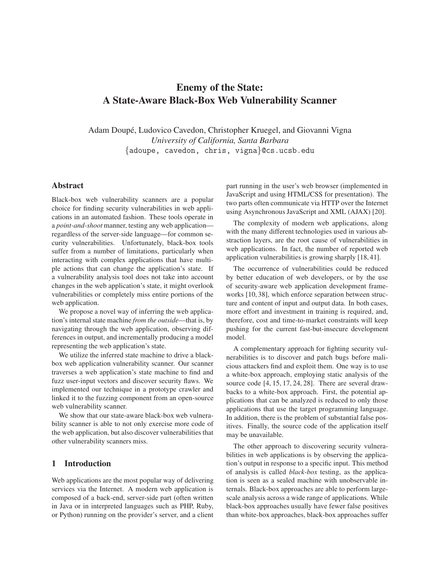# **Enemy of the State: A State-Aware Black-Box Web Vulnerability Scanner**

Adam Doupé, Ludovico Cavedon, Christopher Kruegel, and Giovanni Vigna *University of California, Santa Barbara* {adoupe, cavedon, chris, vigna}@cs.ucsb.edu

# **Abstract**

Black-box web vulnerability scanners are a popular choice for finding security vulnerabilities in web applications in an automated fashion. These tools operate in a *point-and-shoot* manner, testing any web application regardless of the server-side language—for common security vulnerabilities. Unfortunately, black-box tools suffer from a number of limitations, particularly when interacting with complex applications that have multiple actions that can change the application's state. If a vulnerability analysis tool does not take into account changes in the web application's state, it might overlook vulnerabilities or completely miss entire portions of the web application.

We propose a novel way of inferring the web application's internal state machine *from the outside*—that is, by navigating through the web application, observing differences in output, and incrementally producing a model representing the web application's state.

We utilize the inferred state machine to drive a blackbox web application vulnerability scanner. Our scanner traverses a web application's state machine to find and fuzz user-input vectors and discover security flaws. We implemented our technique in a prototype crawler and linked it to the fuzzing component from an open-source web vulnerability scanner.

We show that our state-aware black-box web vulnerability scanner is able to not only exercise more code of the web application, but also discover vulnerabilities that other vulnerability scanners miss.

# **1 Introduction**

Web applications are the most popular way of delivering services via the Internet. A modern web application is composed of a back-end, server-side part (often written in Java or in interpreted languages such as PHP, Ruby, or Python) running on the provider's server, and a client part running in the user's web browser (implemented in JavaScript and using HTML/CSS for presentation). The two parts often communicate via HTTP over the Internet using Asynchronous JavaScript and XML (AJAX) [\[20\]](#page-14-0).

The complexity of modern web applications, along with the many different technologies used in various abstraction layers, are the root cause of vulnerabilities in web applications. In fact, the number of reported web application vulnerabilities is growing sharply [\[18,](#page-14-1) [41\]](#page-14-2).

The occurrence of vulnerabilities could be reduced by better education of web developers, or by the use of security-aware web application development frameworks [\[10,](#page-13-0) [38\]](#page-14-3), which enforce separation between structure and content of input and output data. In both cases, more effort and investment in training is required, and, therefore, cost and time-to-market constraints will keep pushing for the current fast-but-insecure development model.

A complementary approach for fighting security vulnerabilities is to discover and patch bugs before malicious attackers find and exploit them. One way is to use a white-box approach, employing static analysis of the source code [\[4,](#page-13-1) [15,](#page-14-4) [17,](#page-14-5) [24,](#page-14-6) [28\]](#page-14-7). There are several drawbacks to a white-box approach. First, the potential applications that can be analyzed is reduced to only those applications that use the target programming language. In addition, there is the problem of substantial false positives. Finally, the source code of the application itself may be unavailable.

The other approach to discovering security vulnerabilities in web applications is by observing the application's output in response to a specific input. This method of analysis is called *black-box* testing, as the application is seen as a sealed machine with unobservable internals. Black-box approaches are able to perform largescale analysis across a wide range of applications. While black-box approaches usually have fewer false positives than white-box approaches, black-box approaches suffer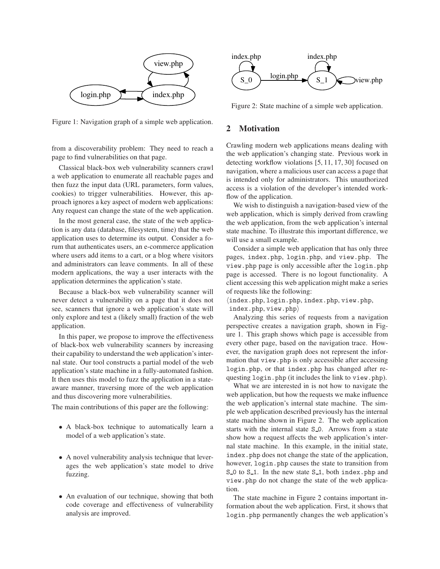

<span id="page-1-0"></span>Figure 1: Navigation graph of a simple web application.

from a discoverability problem: They need to reach a page to find vulnerabilities on that page.

Classical black-box web vulnerability scanners crawl a web application to enumerate all reachable pages and then fuzz the input data (URL parameters, form values, cookies) to trigger vulnerabilities. However, this approach ignores a key aspect of modern web applications: Any request can change the state of the web application.

In the most general case, the state of the web application is any data (database, filesystem, time) that the web application uses to determine its output. Consider a forum that authenticates users, an e-commerce application where users add items to a cart, or a blog where visitors and administrators can leave comments. In all of these modern applications, the way a user interacts with the application determines the application's state.

Because a black-box web vulnerability scanner will never detect a vulnerability on a page that it does not see, scanners that ignore a web application's state will only explore and test a (likely small) fraction of the web application.

In this paper, we propose to improve the effectiveness of black-box web vulnerability scanners by increasing their capability to understand the web application's internal state. Our tool constructs a partial model of the web application's state machine in a fully-automated fashion. It then uses this model to fuzz the application in a stateaware manner, traversing more of the web application and thus discovering more vulnerabilities.

The main contributions of this paper are the following:

- A black-box technique to automatically learn a model of a web application's state.
- A novel vulnerability analysis technique that leverages the web application's state model to drive fuzzing.
- An evaluation of our technique, showing that both code coverage and effectiveness of vulnerability analysis are improved.



<span id="page-1-1"></span>Figure 2: State machine of a simple web application.

# **2 Motivation**

Crawling modern web applications means dealing with the web application's changing state. Previous work in detecting workflow violations [\[5,](#page-13-2) [11,](#page-13-3) [17,](#page-14-5) [30\]](#page-14-8) focused on navigation, where a malicious user can access a page that is intended only for administrators. This unauthorized access is a violation of the developer's intended workflow of the application.

We wish to distinguish a navigation-based view of the web application, which is simply derived from crawling the web application, from the web application's internal state machine. To illustrate this important difference, we will use a small example.

Consider a simple web application that has only three pages, index.php, login.php, and view.php. The view.php page is only accessible after the login.php page is accessed. There is no logout functionality. A client accessing this web application might make a series of requests like the following:

 $\langle$ index.php, login.php, index.php, view.php,

 $index.php,view.php\rangle$ 

Analyzing this series of requests from a navigation perspective creates a navigation graph, shown in Figure [1.](#page-1-0) This graph shows which page is accessible from every other page, based on the navigation trace. However, the navigation graph does not represent the information that view.php is only accessible after accessing login.php, or that index.php has changed after requesting login.php (it includes the link to view.php).

What we are interested in is not how to navigate the web application, but how the requests we make influence the web application's internal state machine. The simple web application described previously has the internal state machine shown in Figure [2.](#page-1-1) The web application starts with the internal state S<sub>-0</sub>. Arrows from a state show how a request affects the web application's internal state machine. In this example, in the initial state, index.php does not change the state of the application, however, login.php causes the state to transition from S  $\Omega$  to S  $\Lambda$ . In the new state S  $\Lambda$ , both index.php and view.php do not change the state of the web application.

The state machine in Figure [2](#page-1-1) contains important information about the web application. First, it shows that login.php permanently changes the web application's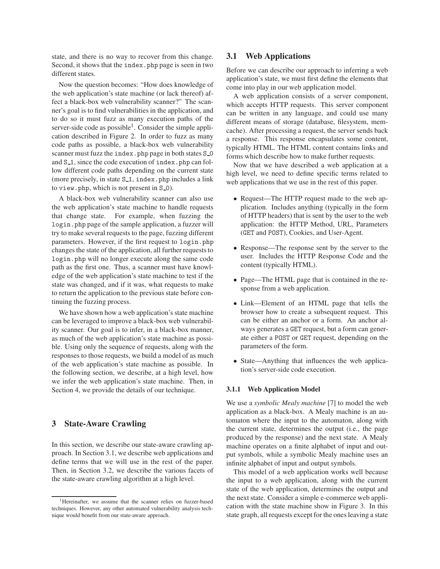state, and there is no way to recover from this change. Second, it shows that the index.php page is seen in two different states.

Now the question becomes: "How does knowledge of the web application's state machine (or lack thereof) affect a black-box web vulnerability scanner?" The scanner's goal is to find vulnerabilities in the application, and to do so it must fuzz as many execution paths of the server-side code as possible<sup>[1](#page-2-0)</sup>. Consider the simple application described in Figure [2.](#page-1-1) In order to fuzz as many code paths as possible, a black-box web vulnerability scanner must fuzz the index.php page in both states S<sub>-0</sub> and S<sub>1</sub>, since the code execution of index.php can follow different code paths depending on the current state (more precisely, in state  $S_1$ , index.php includes a link to view.php, which is not present in S<sub>-0</sub>).

A black-box web vulnerability scanner can also use the web application's state machine to handle requests that change state. For example, when fuzzing the login.php page of the sample application, a fuzzer will try to make several requests to the page, fuzzing different parameters. However, if the first request to login.php changes the state of the application, all further requests to login.php will no longer execute along the same code path as the first one. Thus, a scanner must have knowledge of the web application's state machine to test if the state was changed, and if it was, what requests to make to return the application to the previous state before continuing the fuzzing process.

We have shown how a web application's state machine can be leveraged to improve a black-box web vulnerability scanner. Our goal is to infer, in a black-box manner, as much of the web application's state machine as possible. Using only the sequence of requests, along with the responses to those requests, we build a model of as much of the web application's state machine as possible. In the following section, we describe, at a high level, how we infer the web application's state machine. Then, in Section [4,](#page-4-0) we provide the details of our technique.

# **3 State-Aware Crawling**

In this section, we describe our state-aware crawling approach. In Section [3.1,](#page-2-1) we describe web applications and define terms that we will use in the rest of the paper. Then, in Section [3.2,](#page-3-0) we describe the various facets of the state-aware crawling algorithm at a high level.

# <span id="page-2-1"></span>**3.1 Web Applications**

Before we can describe our approach to inferring a web application's state, we must first define the elements that come into play in our web application model.

A web application consists of a server component, which accepts HTTP requests. This server component can be written in any language, and could use many different means of storage (database, filesystem, memcache). After processing a request, the server sends back a response. This response encapsulates some content, typically HTML. The HTML content contains links and forms which describe how to make further requests.

Now that we have described a web application at a high level, we need to define specific terms related to web applications that we use in the rest of this paper.

- Request—The HTTP request made to the web application. Includes anything (typically in the form of HTTP headers) that is sent by the user to the web application: the HTTP Method, URL, Parameters (GET and POST), Cookies, and User-Agent.
- Response—The response sent by the server to the user. Includes the HTTP Response Code and the content (typically HTML).
- Page—The HTML page that is contained in the response from a web application.
- Link—Element of an HTML page that tells the browser how to create a subsequent request. This can be either an anchor or a form. An anchor always generates a GET request, but a form can generate either a POST or GET request, depending on the parameters of the form.
- State—Anything that influences the web application's server-side code execution.

#### **3.1.1 Web Application Model**

We use a *symbolic Mealy machine* [\[7\]](#page-13-4) to model the web application as a black-box. A Mealy machine is an automaton where the input to the automaton, along with the current state, determines the output (i.e., the page produced by the response) and the next state. A Mealy machine operates on a finite alphabet of input and output symbols, while a symbolic Mealy machine uses an infinite alphabet of input and output symbols.

This model of a web application works well because the input to a web application, along with the current state of the web application, determines the output and the next state. Consider a simple e-commerce web application with the state machine show in Figure [3.](#page-3-1) In this state graph, all requests except for the ones leaving a state

<span id="page-2-0"></span><sup>&</sup>lt;sup>1</sup>Hereinafter, we assume that the scanner relies on fuzzer-based techniques. However, any other automated vulnerability analysis technique would benefit from our state-aware approach.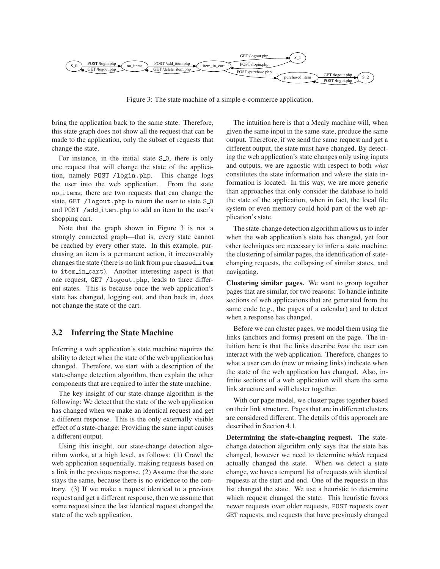

<span id="page-3-1"></span>Figure 3: The state machine of a simple e-commerce application.

bring the application back to the same state. Therefore, this state graph does not show all the request that can be made to the application, only the subset of requests that change the state.

For instance, in the initial state S<sub>1</sub>O, there is only one request that will change the state of the application, namely POST /login.php. This change logs the user into the web application. From the state no items, there are two requests that can change the state, GET /logout.php to return the user to state S<sub>-0</sub> and POST /add item.php to add an item to the user's shopping cart.

Note that the graph shown in Figure [3](#page-3-1) is not a strongly connected graph—that is, every state cannot be reached by every other state. In this example, purchasing an item is a permanent action, it irrecoverably changes the state (there is no link from purchased item to item in cart). Another interesting aspect is that one request, GET /logout.php, leads to three different states. This is because once the web application's state has changed, logging out, and then back in, does not change the state of the cart.

### <span id="page-3-0"></span>**3.2 Inferring the State Machine**

Inferring a web application's state machine requires the ability to detect when the state of the web application has changed. Therefore, we start with a description of the state-change detection algorithm, then explain the other components that are required to infer the state machine.

The key insight of our state-change algorithm is the following: We detect that the state of the web application has changed when we make an identical request and get a different response. This is the only externally visible effect of a state-change: Providing the same input causes a different output.

Using this insight, our state-change detection algorithm works, at a high level, as follows: (1) Crawl the web application sequentially, making requests based on a link in the previous response. (2) Assume that the state stays the same, because there is no evidence to the contrary. (3) If we make a request identical to a previous request and get a different response, then we assume that some request since the last identical request changed the state of the web application.

The intuition here is that a Mealy machine will, when given the same input in the same state, produce the same output. Therefore, if we send the same request and get a different output, the state must have changed. By detecting the web application's state changes only using inputs and outputs, we are agnostic with respect to both *what* constitutes the state information and *where* the state information is located. In this way, we are more generic than approaches that only consider the database to hold the state of the application, when in fact, the local file system or even memory could hold part of the web application's state.

The state-change detection algorithm allows us to infer when the web application's state has changed, yet four other techniques are necessary to infer a state machine: the clustering of similar pages, the identification of statechanging requests, the collapsing of similar states, and navigating.

**Clustering similar pages.** We want to group together pages that are similar, for two reasons: To handle infinite sections of web applications that are generated from the same code (e.g., the pages of a calendar) and to detect when a response has changed.

Before we can cluster pages, we model them using the links (anchors and forms) present on the page. The intuition here is that the links describe *how* the user can interact with the web application. Therefore, changes to what a user can do (new or missing links) indicate when the state of the web application has changed. Also, infinite sections of a web application will share the same link structure and will cluster together.

With our page model, we cluster pages together based on their link structure. Pages that are in different clusters are considered different. The details of this approach are described in Section [4.1.](#page-4-1)

**Determining the state-changing request.** The statechange detection algorithm only says that the state has changed, however we need to determine *which* request actually changed the state. When we detect a state change, we have a temporal list of requests with identical requests at the start and end. One of the requests in this list changed the state. We use a heuristic to determine which request changed the state. This heuristic favors newer requests over older requests, POST requests over GET requests, and requests that have previously changed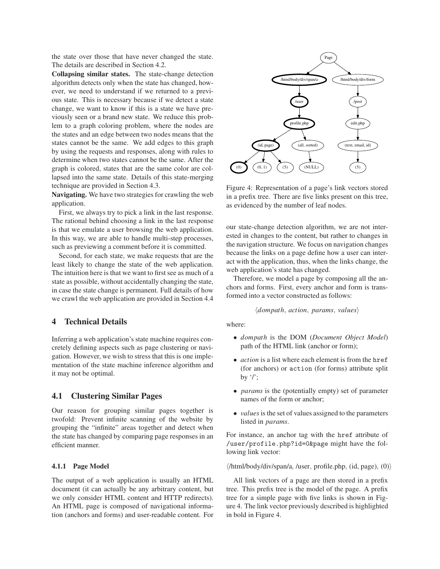the state over those that have never changed the state. The details are described in Section [4.2.](#page-5-0)

**Collapsing similar states.** The state-change detection algorithm detects only when the state has changed, however, we need to understand if we returned to a previous state. This is necessary because if we detect a state change, we want to know if this is a state we have previously seen or a brand new state. We reduce this problem to a graph coloring problem, where the nodes are the states and an edge between two nodes means that the states cannot be the same. We add edges to this graph by using the requests and responses, along with rules to determine when two states cannot be the same. After the graph is colored, states that are the same color are collapsed into the same state. Details of this state-merging technique are provided in Section [4.3.](#page-6-0)

**Navigating.** We have two strategies for crawling the web application.

First, we always try to pick a link in the last response. The rational behind choosing a link in the last response is that we emulate a user browsing the web application. In this way, we are able to handle multi-step processes, such as previewing a comment before it is committed.

Second, for each state, we make requests that are the least likely to change the state of the web application. The intuition here is that we want to first see as much of a state as possible, without accidentally changing the state, in case the state change is permanent. Full details of how we crawl the web application are provided in Section [4.4](#page-6-1)

## <span id="page-4-0"></span>**4 Technical Details**

Inferring a web application's state machine requires concretely defining aspects such as page clustering or navigation. However, we wish to stress that this is one implementation of the state machine inference algorithm and it may not be optimal.

# <span id="page-4-1"></span>**4.1 Clustering Similar Pages**

Our reason for grouping similar pages together is twofold: Prevent infinite scanning of the website by grouping the "infinite" areas together and detect when the state has changed by comparing page responses in an efficient manner.

### **4.1.1 Page Model**

The output of a web application is usually an HTML document (it can actually be any arbitrary content, but we only consider HTML content and HTTP redirects). An HTML page is composed of navigational information (anchors and forms) and user-readable content. For



<span id="page-4-2"></span>Figure 4: Representation of a page's link vectors stored in a prefix tree. There are five links present on this tree, as evidenced by the number of leaf nodes.

our state-change detection algorithm, we are not interested in changes to the content, but rather to changes in the navigation structure. We focus on navigation changes because the links on a page define how a user can interact with the application, thus, when the links change, the web application's state has changed.

Therefore, we model a page by composing all the anchors and forms. First, every anchor and form is transformed into a vector constructed as follows:

#### $\langle$ *dompath*, *action*, *params*, *values* $\rangle$

where:

- *dompath* is the DOM (*Document Object Model*) path of the HTML link (anchor or form);
- *action* is a list where each element is from the href (for anchors) or action (for forms) attribute split by  $\gamma$ ;
- *params* is the (potentially empty) set of parameter names of the form or anchor;
- *values* is the set of values assigned to the parameters listed in *params*.

For instance, an anchor tag with the href attribute of /user/profile.php?id=0&page might have the following link vector:

 $\langle$ /html/body/div/span/a, /user, profile.php, (id, page), (0))

All link vectors of a page are then stored in a prefix tree. This prefix tree is the model of the page. A prefix tree for a simple page with five links is shown in Figure [4.](#page-4-2) The link vector previously described is highlighted in bold in Figure [4.](#page-4-2)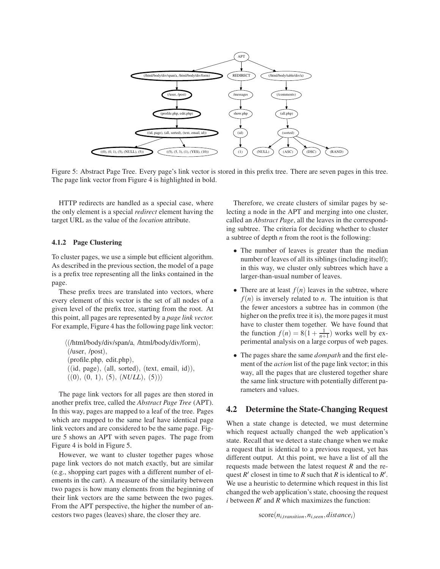

<span id="page-5-1"></span>Figure 5: Abstract Page Tree. Every page's link vector is stored in this prefix tree. There are seven pages in this tree. The page link vector from Figure [4](#page-4-2) is highlighted in bold.

HTTP redirects are handled as a special case, where the only element is a special *redirect* element having the target URL as the value of the *location* attribute.

#### **4.1.2 Page Clustering**

To cluster pages, we use a simple but efficient algorithm. As described in the previous section, the model of a page is a prefix tree representing all the links contained in the page.

These prefix trees are translated into vectors, where every element of this vector is the set of all nodes of a given level of the prefix tree, starting from the root. At this point, all pages are represented by a *page link vector.* For example, Figure [4](#page-4-2) has the following page link vector:

h(/html/body/div/span/a, /html/body/div/form), (/user, /post), (profile.php, edit.php),  $((id, page), (all, sorted), (text, email, id)),$  $((0), (0, 1), (5), (NULL), (5))$ 

The page link vectors for all pages are then stored in another prefix tree, called the *Abstract Page Tree* (APT). In this way, pages are mapped to a leaf of the tree. Pages which are mapped to the same leaf have identical page link vectors and are considered to be the same page. Figure [5](#page-5-1) shows an APT with seven pages. The page from Figure [4](#page-4-2) is bold in Figure [5.](#page-5-1)

However, we want to cluster together pages whose page link vectors do not match exactly, but are similar (e.g., shopping cart pages with a different number of elements in the cart). A measure of the similarity between two pages is how many elements from the beginning of their link vectors are the same between the two pages. From the APT perspective, the higher the number of ancestors two pages (leaves) share, the closer they are.

Therefore, we create clusters of similar pages by selecting a node in the APT and merging into one cluster, called an *Abstract Page*, all the leaves in the corresponding subtree. The criteria for deciding whether to cluster a subtree of depth *n* from the root is the following:

- The number of leaves is greater than the median number of leaves of all its siblings (including itself); in this way, we cluster only subtrees which have a larger-than-usual number of leaves.
- There are at least  $f(n)$  leaves in the subtree, where  $f(n)$  is inversely related to *n*. The intuition is that the fewer ancestors a subtree has in common (the higher on the prefix tree it is), the more pages it must have to cluster them together. We have found that the function  $f(n) = 8(1 + \frac{1}{n+1})$  works well by experimental analysis on a large corpus of web pages.
- The pages share the same *dompath* and the first element of the *action* list of the page link vector; in this way, all the pages that are clustered together share the same link structure with potentially different parameters and values.

### <span id="page-5-0"></span>**4.2 Determine the State-Changing Request**

When a state change is detected, we must determine which request actually changed the web application's state. Recall that we detect a state change when we make a request that is identical to a previous request, yet has different output. At this point, we have a list of all the requests made between the latest request *R* and the request  $R'$  closest in time to  $R$  such that  $R$  is identical to  $R'$ . We use a heuristic to determine which request in this list changed the web application's state, choosing the request  $i$  between  $R'$  and  $R$  which maximizes the function:

 $score(n_{i, transition}, n_{i,seen}, distance_i)$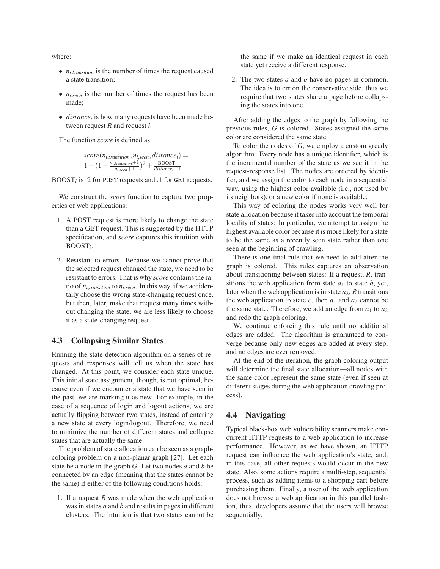where:

- *ni*,*transition* is the number of times the request caused a state transition;
- *ni*,*seen* is the number of times the request has been made;
- *distance<sup>i</sup>* is how many requests have been made between request *R* and request *i*.

The function *score* is defined as:

$$
score(n_{i,transition}, n_{i,seen}, distance_i) = 1 - (1 - \frac{n_{i,transition} + 1}{n_{i,seen} + 1})^2 + \frac{BOOST_i}{distance_i + 1}
$$

BOOST*<sup>i</sup>* is .2 for POST requests and .1 for GET requests.

We construct the *score* function to capture two properties of web applications:

- 1. A POST request is more likely to change the state than a GET request. This is suggested by the HTTP specification, and *score* captures this intuition with BOOST*<sup>i</sup>* .
- 2. Resistant to errors. Because we cannot prove that the selected request changed the state, we need to be resistant to errors. That is why *score* contains the ratio of  $n_{i,transition}$  to  $n_{i,seen}$ . In this way, if we accidentally choose the wrong state-changing request once, but then, later, make that request many times without changing the state, we are less likely to choose it as a state-changing request.

# <span id="page-6-0"></span>**4.3 Collapsing Similar States**

Running the state detection algorithm on a series of requests and responses will tell us when the state has changed. At this point, we consider each state unique. This initial state assignment, though, is not optimal, because even if we encounter a state that we have seen in the past, we are marking it as new. For example, in the case of a sequence of login and logout actions, we are actually flipping between two states, instead of entering a new state at every login/logout. Therefore, we need to minimize the number of different states and collapse states that are actually the same.

The problem of state allocation can be seen as a graphcoloring problem on a non-planar graph [\[27\]](#page-14-9). Let each state be a node in the graph *G*. Let two nodes *a* and *b* be connected by an edge (meaning that the states cannot be the same) if either of the following conditions holds:

1. If a request  $R$  was made when the web application was in states *a* and *b* and results in pages in different clusters. The intuition is that two states cannot be the same if we make an identical request in each state yet receive a different response.

2. The two states *a* and *b* have no pages in common. The idea is to err on the conservative side, thus we require that two states share a page before collapsing the states into one.

After adding the edges to the graph by following the previous rules, *G* is colored. States assigned the same color are considered the same state.

To color the nodes of *G*, we employ a custom greedy algorithm. Every node has a unique identifier, which is the incremental number of the state as we see it in the request-response list. The nodes are ordered by identifier, and we assign the color to each node in a sequential way, using the highest color available (i.e., not used by its neighbors), or a new color if none is available.

This way of coloring the nodes works very well for state allocation because it takes into account the temporal locality of states: In particular, we attempt to assign the highest available color because it is more likely for a state to be the same as a recently seen state rather than one seen at the beginning of crawling.

There is one final rule that we need to add after the graph is colored. This rules captures an observation about transitioning between states: If a request, *R*, transitions the web application from state  $a_1$  to state  $b$ , yet, later when the web application is in state  $a_2$ ,  $R$  transitions the web application to state  $c$ , then  $a_1$  and  $a_2$  cannot be the same state. Therefore, we add an edge from  $a_1$  to  $a_2$ and redo the graph coloring.

We continue enforcing this rule until no additional edges are added. The algorithm is guaranteed to converge because only new edges are added at every step, and no edges are ever removed.

At the end of the iteration, the graph coloring output will determine the final state allocation—all nodes with the same color represent the same state (even if seen at different stages during the web application crawling process).

# <span id="page-6-1"></span>**4.4 Navigating**

Typical black-box web vulnerability scanners make concurrent HTTP requests to a web application to increase performance. However, as we have shown, an HTTP request can influence the web application's state, and, in this case, all other requests would occur in the new state. Also, some actions require a multi-step, sequential process, such as adding items to a shopping cart before purchasing them. Finally, a user of the web application does not browse a web application in this parallel fashion, thus, developers assume that the users will browse sequentially.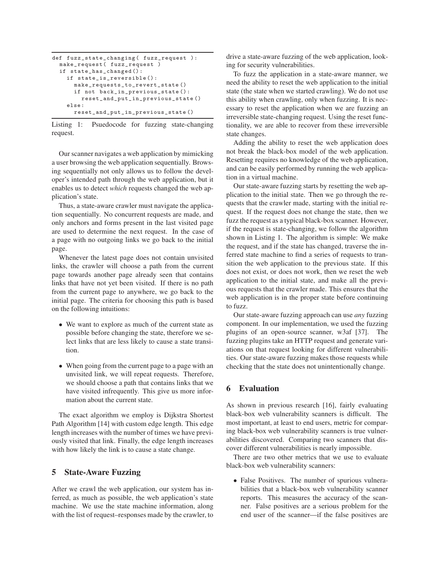```
def fuzz_state_changing ( fuzz_request ):
make_request ( fuzz_request )
if state_has_changed () :
  if state_is_reversible () :
    make_requests_to_revert_state ()
    if not back_in_previous_state () :
      reset_and_put_in_previous_state ()
  else :
    reset_and_put_in_previous_state ()
```
Listing 1: Psuedocode for fuzzing state-changing request.

Our scanner navigates a web application by mimicking a user browsing the web application sequentially. Browsing sequentially not only allows us to follow the developer's intended path through the web application, but it enables us to detect *which* requests changed the web application's state.

Thus, a state-aware crawler must navigate the application sequentially. No concurrent requests are made, and only anchors and forms present in the last visited page are used to determine the next request. In the case of a page with no outgoing links we go back to the initial page.

Whenever the latest page does not contain unvisited links, the crawler will choose a path from the current page towards another page already seen that contains links that have not yet been visited. If there is no path from the current page to anywhere, we go back to the initial page. The criteria for choosing this path is based on the following intuitions:

- We want to explore as much of the current state as possible before changing the state, therefore we select links that are less likely to cause a state transition.
- When going from the current page to a page with an unvisited link, we will repeat requests. Therefore, we should choose a path that contains links that we have visited infrequently. This give us more information about the current state.

The exact algorithm we employ is Dijkstra Shortest Path Algorithm [\[14\]](#page-14-10) with custom edge length. This edge length increases with the number of times we have previously visited that link. Finally, the edge length increases with how likely the link is to cause a state change.

# **5 State-Aware Fuzzing**

After we crawl the web application, our system has inferred, as much as possible, the web application's state machine. We use the state machine information, along with the list of request–responses made by the crawler, to drive a state-aware fuzzing of the web application, looking for security vulnerabilities.

To fuzz the application in a state-aware manner, we need the ability to reset the web application to the initial state (the state when we started crawling). We do not use this ability when crawling, only when fuzzing. It is necessary to reset the application when we are fuzzing an irreversible state-changing request. Using the reset functionality, we are able to recover from these irreversible state changes.

Adding the ability to reset the web application does not break the black-box model of the web application. Resetting requires no knowledge of the web application, and can be easily performed by running the web application in a virtual machine.

Our state-aware fuzzing starts by resetting the web application to the initial state. Then we go through the requests that the crawler made, starting with the initial request. If the request does not change the state, then we fuzz the request as a typical black-box scanner. However, if the request is state-changing, we follow the algorithm shown in Listing [1.](#page-7-0) The algorithm is simple: We make the request, and if the state has changed, traverse the inferred state machine to find a series of requests to transition the web application to the previous state. If this does not exist, or does not work, then we reset the web application to the initial state, and make all the previous requests that the crawler made. This ensures that the web application is in the proper state before continuing to fuzz.

Our state-aware fuzzing approach can use *any* fuzzing component. In our implementation, we used the fuzzing plugins of an open-source scanner, w3af [\[37\]](#page-14-11). The fuzzing plugins take an HTTP request and generate variations on that request looking for different vulnerabilities. Our state-aware fuzzing makes those requests while checking that the state does not unintentionally change.

### **6 Evaluation**

As shown in previous research [\[16\]](#page-14-12), fairly evaluating black-box web vulnerability scanners is difficult. The most important, at least to end users, metric for comparing black-box web vulnerability scanners is true vulnerabilities discovered. Comparing two scanners that discover different vulnerabilities is nearly impossible.

There are two other metrics that we use to evaluate black-box web vulnerability scanners:

• False Positives. The number of spurious vulnerabilities that a black-box web vulnerability scanner reports. This measures the accuracy of the scanner. False positives are a serious problem for the end user of the scanner—if the false positives are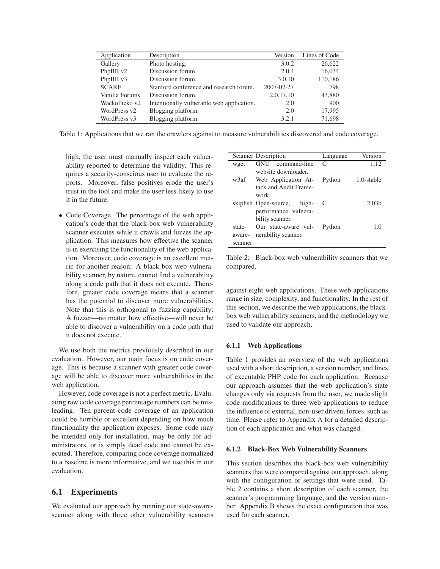| Application    | Description                               | Version    | Lines of Code |
|----------------|-------------------------------------------|------------|---------------|
| Gallery        | Photo hosting.                            | 3.0.2      | 26,622        |
| PhpBB v2       | Discussion forum.                         | 2.0.4      | 16,034        |
| PhpBB v3       | Discussion forum.                         | 3.0.10     | 110,186       |
| <b>SCARF</b>   | Stanford conference and research forum.   | 2007-02-27 | 798           |
| Vanilla Forums | Discussion forum.                         | 2.0.17.10  | 43,880        |
| WackoPicko v2  | Intentionally vulnerable web application. | 2.0        | 900           |
| WordPress v2   | Blogging platform.                        | 2.0        | 17,995        |
| WordPress v3   | Blogging platform.                        | 3.2.1      | 71,698        |

Table 1: Applications that we ran the crawlers against to measure vulnerabilities discovered and code coverage.

<span id="page-8-0"></span>high, the user must manually inspect each vulnerability reported to determine the validity. This requires a security-conscious user to evaluate the reports. Moreover, false positives erode the user's trust in the tool and make the user less likely to use it in the future.

• Code Coverage. The percentage of the web application's code that the black-box web vulnerability scanner executes while it crawls and fuzzes the application. This measures how effective the scanner is in exercising the functionality of the web application. Moreover, code coverage is an excellent metric for another reason: A black-box web vulnerability scanner, by nature, cannot find a vulnerability along a code path that it does not execute. Therefore, greater code coverage means that a scanner has the potential to discover more vulnerabilities. Note that this is orthogonal to fuzzing capability: A fuzzer—no matter how effective—will never be able to discover a vulnerability on a code path that it does not execute.

We use both the metrics previously described in our evaluation. However, our main focus is on code coverage. This is because a scanner with greater code coverage will be able to discover more vulnerabilities in the web application.

However, code coverage is not a perfect metric. Evaluating raw code coverage percentage numbers can be misleading. Ten percent code coverage of an application could be horrible or excellent depending on how much functionality the application exposes. Some code may be intended only for installation, may be only for administrators, or is simply dead code and cannot be executed. Therefore, comparing code coverage normalized to a baseline is more informative, and we use this in our evaluation.

# **6.1 Experiments**

We evaluated our approach by running our state-awarescanner along with three other vulnerability scanners

|         | Scanner Description            | Language       | Version           |
|---------|--------------------------------|----------------|-------------------|
| wget    | GNU command-line               | $\subset$      | 1.12              |
|         | website downloader.            |                |                   |
| w3af    | Web Application At-            | Python         | 1.0-stable        |
|         | tack and Audit Frame-<br>work. |                |                   |
|         | skipfish Open-source, high-    | <sup>-</sup> C | 2.03 <sub>b</sub> |
|         | performance vulnera-           |                |                   |
|         | bility scanner.                |                |                   |
| state-  | Our state-aware vul-           | Python         | 1.0               |
| aware-  | nerability scanner.            |                |                   |
| scanner |                                |                |                   |

<span id="page-8-1"></span>Table 2: Black-box web vulnerability scanners that we compared.

against eight web applications. These web applications range in size, complexity, and functionality. In the rest of this section, we describe the web applications, the blackbox web vulnerability scanners, and the methodology we used to validate our approach.

### **6.1.1 Web Applications**

Table [1](#page-8-0) provides an overview of the web applications used with a short description, a version number, and lines of executable PHP code for each application. Because our approach assumes that the web application's state changes only via requests from the user, we made slight code modifications to three web applications to reduce the influence of external, non-user driven, forces, such as time. Please refer to Appendix [A](#page-15-0) for a detailed description of each application and what was changed.

#### **6.1.2 Black-Box Web Vulnerability Scanners**

This section describes the black-box web vulnerability scanners that were compared against our approach, along with the configuration or settings that were used. Table [2](#page-8-1) contains a short description of each scanner, the scanner's programming language, and the version number. Appendix [B](#page-15-1) shows the exact configuration that was used for each scanner.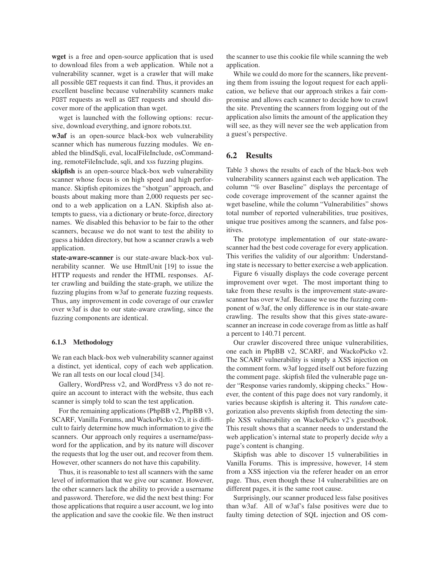**wget** is a free and open-source application that is used to download files from a web application. While not a vulnerability scanner, wget is a crawler that will make all possible GET requests it can find. Thus, it provides an excellent baseline because vulnerability scanners make POST requests as well as GET requests and should discover more of the application than wget.

wget is launched with the following options: recursive, download everything, and ignore robots.txt.

**w3af** is an open-source black-box web vulnerability scanner which has numerous fuzzing modules. We enabled the blindSqli, eval, localFileInclude, osCommanding, remoteFileInclude, sqli, and xss fuzzing plugins.

**skipfish** is an open-source black-box web vulnerability scanner whose focus is on high speed and high performance. Skipfish epitomizes the "shotgun" approach, and boasts about making more than 2,000 requests per second to a web application on a LAN. Skipfish also attempts to guess, via a dictionary or brute-force, directory names. We disabled this behavior to be fair to the other scanners, because we do not want to test the ability to guess a hidden directory, but how a scanner crawls a web application.

**state-aware-scanner** is our state-aware black-box vulnerability scanner. We use HtmlUnit [\[19\]](#page-14-13) to issue the HTTP requests and render the HTML responses. After crawling and building the state-graph, we utilize the fuzzing plugins from w3af to generate fuzzing requests. Thus, any improvement in code coverage of our crawler over w3af is due to our state-aware crawling, since the fuzzing components are identical.

#### **6.1.3 Methodology**

We ran each black-box web vulnerability scanner against a distinct, yet identical, copy of each web application. We ran all tests on our local cloud [\[34\]](#page-14-14).

Gallery, WordPress v2, and WordPress v3 do not require an account to interact with the website, thus each scanner is simply told to scan the test application.

For the remaining applications (PhpBB v2, PhpBB v3, SCARF, Vanilla Forums, and WackoPicko v2), it is difficult to fairly determine how much information to give the scanners. Our approach only requires a username/password for the application, and by its nature will discover the requests that log the user out, and recover from them. However, other scanners do not have this capability.

Thus, it is reasonable to test all scanners with the same level of information that we give our scanner. However, the other scanners lack the ability to provide a username and password. Therefore, we did the next best thing: For those applications that require a user account, we log into the application and save the cookie file. We then instruct the scanner to use this cookie file while scanning the web application.

While we could do more for the scanners, like preventing them from issuing the logout request for each application, we believe that our approach strikes a fair compromise and allows each scanner to decide how to crawl the site. Preventing the scanners from logging out of the application also limits the amount of the application they will see, as they will never see the web application from a guest's perspective.

# **6.2 Results**

Table [3](#page-10-0) shows the results of each of the black-box web vulnerability scanners against each web application. The column "% over Baseline" displays the percentage of code coverage improvement of the scanner against the wget baseline, while the column "Vulnerabilities" shows total number of reported vulnerabilities, true positives, unique true positives among the scanners, and false positives.

The prototype implementation of our state-awarescanner had the best code coverage for every application. This verifies the validity of our algorithm: Understanding state is necessary to better exercise a web application.

Figure [6](#page-11-0) visually displays the code coverage percent improvement over wget. The most important thing to take from these results is the improvement state-awarescanner has over w3af. Because we use the fuzzing component of w3af, the only difference is in our state-aware crawling. The results show that this gives state-awarescanner an increase in code coverage from as little as half a percent to 140.71 percent.

Our crawler discovered three unique vulnerabilities, one each in PhpBB v2, SCARF, and WackoPicko v2. The SCARF vulnerability is simply a XSS injection on the comment form. w3af logged itself out before fuzzing the comment page. skipfish filed the vulnerable page under "Response varies randomly, skipping checks." However, the content of this page does not vary randomly, it varies because skipfish is altering it. This *random* categorization also prevents skipfish from detecting the simple XSS vulnerability on WackoPicko v2's guestbook. This result shows that a scanner needs to understand the web application's internal state to properly decide *why* a page's content is changing.

Skipfish was able to discover 15 vulnerabilities in Vanilla Forums. This is impressive, however, 14 stem from a XSS injection via the referer header on an error page. Thus, even though these 14 vulnerabilities are on different pages, it is the same root cause.

Surprisingly, our scanner produced less false positives than w3af. All of w3af's false positives were due to faulty timing detection of SQL injection and OS com-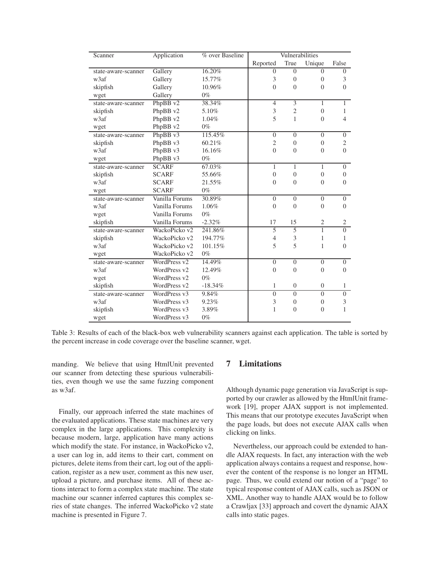| Scanner             | Application    | % over Baseline | Vulnerabilities |                  |                  |                |
|---------------------|----------------|-----------------|-----------------|------------------|------------------|----------------|
|                     |                |                 | Reported        | True             | Unique           | False          |
| state-aware-scanner | Gallery        | 16.20%          | $\theta$        | $\theta$         | $\Omega$         | $\theta$       |
| w3af                | Gallery        | 15.77%          | 3               | $\overline{0}$   | $\Omega$         | 3              |
| skipfish            | Gallery        | 10.96%          | $\Omega$        | $\theta$         | $\Omega$         | $\Omega$       |
| wget                | Gallery        | $0\%$           |                 |                  |                  |                |
| state-aware-scanner | PhpBB v2       | 38.34%          | $\overline{4}$  | $\overline{3}$   | 1                | 1              |
| skipfish            | PhpBB v2       | 5.10%           | 3               | $\overline{2}$   | $\Omega$         | 1              |
| w3af                | PhpBB v2       | 1.04%           | 5               | $\mathbf{1}$     | $\Omega$         | $\overline{4}$ |
| wget                | PhpBB v2       | $0\%$           |                 |                  |                  |                |
| state-aware-scanner | PhpBB v3       | 115.45%         | $\theta$        | $\Omega$         | $\Omega$         | $\theta$       |
| skipfish            | PhpBB v3       | 60.21%          | $\overline{c}$  | $\overline{0}$   | $\Omega$         | $\mathfrak{2}$ |
| w3af                | PhpBB v3       | 16.16%          | $\Omega$        | $\overline{0}$   | $\theta$         | $\theta$       |
| wget                | PhpBB v3       | $0\%$           |                 |                  |                  |                |
| state-aware-scanner | <b>SCARF</b>   | 67.03%          | $\mathbf{1}$    | $\mathbf{1}$     | 1                | $\overline{0}$ |
| skipfish            | <b>SCARF</b>   | 55.66%          | $\theta$        | $\overline{0}$   | $\theta$         | $\overline{0}$ |
| w <sub>3</sub> af   | <b>SCARF</b>   | 21.55%          | $\theta$        | $\theta$         | $\theta$         | $\Omega$       |
| wget                | <b>SCARF</b>   | $0\%$           |                 |                  |                  |                |
| state-aware-scanner | Vanilla Forums | 30.89%          | $\theta$        | $\theta$         | $\mathbf{0}$     | $\overline{0}$ |
| w <sub>3</sub> af   | Vanilla Forums | 1.06%           | $\Omega$        | $\theta$         | $\Omega$         | $\Omega$       |
| wget                | Vanilla Forums | $0\%$           |                 |                  |                  |                |
| skipfish            | Vanilla Forums | $-2.32%$        | 17              | 15               | 2                | 2              |
| state-aware-scanner | WackoPicko v2  | 241.86%         | 5               | 5                | $\mathbf{1}$     | $\theta$       |
| skipfish            | WackoPicko v2  | 194.77%         | $\overline{4}$  | 3                | 1                | 1              |
| w3af                | WackoPicko v2  | 101.15%         | 5               | 5                | 1                | $\overline{0}$ |
| wget                | WackoPicko v2  | $0\%$           |                 |                  |                  |                |
| state-aware-scanner | WordPress v2   | 14.49%          | $\theta$        | $\theta$         | $\theta$         | $\theta$       |
| w3af                | WordPress v2   | 12.49%          | $\theta$        | $\overline{0}$   | $\mathbf{0}$     | $\theta$       |
| wget                | WordPress v2   | $0\%$           |                 |                  |                  |                |
| skipfish            | WordPress v2   | $-18.34%$       | 1               | $\boldsymbol{0}$ | $\boldsymbol{0}$ | 1              |
| state-aware-scanner | WordPress v3   | 9.84%           | $\Omega$        | $\theta$         | $\Omega$         | $\Omega$       |
| w3af                | WordPress v3   | 9.23%           | 3               | $\overline{0}$   | $\Omega$         | 3              |
| skipfish            | WordPress v3   | 3.89%           | 1               | $\overline{0}$   | $\Omega$         | 1              |
| wget                | WordPress v3   | $0\%$           |                 |                  |                  |                |

<span id="page-10-0"></span>Table 3: Results of each of the black-box web vulnerability scanners against each application. The table is sorted by the percent increase in code coverage over the baseline scanner, wget.

manding. We believe that using HtmlUnit prevented our scanner from detecting these spurious vulnerabilities, even though we use the same fuzzing component as w3af.

Finally, our approach inferred the state machines of the evaluated applications. These state machines are very complex in the large applications. This complexity is because modern, large, application have many actions which modify the state. For instance, in WackoPicko v2, a user can log in, add items to their cart, comment on pictures, delete items from their cart, log out of the application, register as a new user, comment as this new user, upload a picture, and purchase items. All of these actions interact to form a complex state machine. The state machine our scanner inferred captures this complex series of state changes. The inferred WackoPicko v2 state machine is presented in Figure [7.](#page-12-0)

# **7 Limitations**

Although dynamic page generation via JavaScript is supported by our crawler as allowed by the HtmlUnit framework [\[19\]](#page-14-13), proper AJAX support is not implemented. This means that our prototype executes JavaScript when the page loads, but does not execute AJAX calls when clicking on links.

Nevertheless, our approach could be extended to handle AJAX requests. In fact, any interaction with the web application always contains a request and response, however the content of the response is no longer an HTML page. Thus, we could extend our notion of a "page" to typical response content of AJAX calls, such as JSON or XML. Another way to handle AJAX would be to follow a Crawljax [\[33\]](#page-14-15) approach and covert the dynamic AJAX calls into static pages.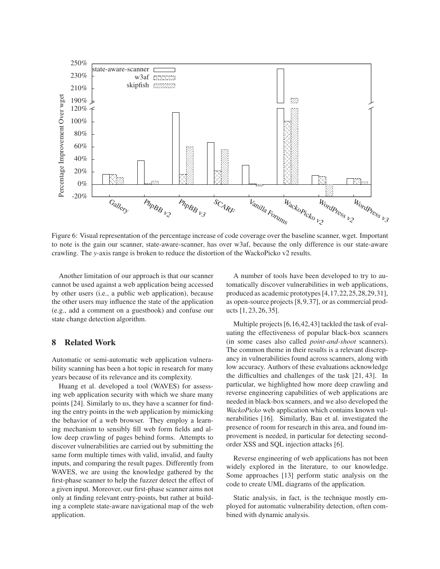

<span id="page-11-0"></span>Figure 6: Visual representation of the percentage increase of code coverage over the baseline scanner, wget. Important to note is the gain our scanner, state-aware-scanner, has over w3af, because the only difference is our state-aware crawling. The *y*-axis range is broken to reduce the distortion of the WackoPicko v2 results.

Another limitation of our approach is that our scanner cannot be used against a web application being accessed by other users (i.e., a public web application), because the other users may influence the state of the application (e.g., add a comment on a guestbook) and confuse our state change detection algorithm.

# **8 Related Work**

Automatic or semi-automatic web application vulnerability scanning has been a hot topic in research for many years because of its relevance and its complexity.

Huang et al. developed a tool (WAVES) for assessing web application security with which we share many points [\[24\]](#page-14-6). Similarly to us, they have a scanner for finding the entry points in the web application by mimicking the behavior of a web browser. They employ a learning mechanism to sensibly fill web form fields and allow deep crawling of pages behind forms. Attempts to discover vulnerabilities are carried out by submitting the same form multiple times with valid, invalid, and faulty inputs, and comparing the result pages. Differently from WAVES, we are using the knowledge gathered by the first-phase scanner to help the fuzzer detect the effect of a given input. Moreover, our first-phase scanner aims not only at finding relevant entry-points, but rather at building a complete state-aware navigational map of the web application.

A number of tools have been developed to try to automatically discover vulnerabilities in web applications, produced as academic prototypes [\[4](#page-13-1)[,17](#page-14-5)[,22](#page-14-16)[,25](#page-14-17)[,28](#page-14-7)[,29,](#page-14-18)[31\]](#page-14-19), as open-source projects [\[8,](#page-13-5)[9,](#page-13-6)[37\]](#page-14-11), or as commercial products [\[1,](#page-13-7) [23,](#page-14-20) [26,](#page-14-21) [35\]](#page-14-22).

Multiple projects [\[6,](#page-13-8)[16,](#page-14-12)[42,](#page-14-23)[43\]](#page-14-24) tackled the task of evaluating the effectiveness of popular black-box scanners (in some cases also called *point-and-shoot* scanners). The common theme in their results is a relevant discrepancy in vulnerabilities found across scanners, along with low accuracy. Authors of these evaluations acknowledge the difficulties and challenges of the task [\[21,](#page-14-25) [43\]](#page-14-24). In particular, we highlighted how more deep crawling and reverse engineering capabilities of web applications are needed in black-box scanners, and we also developed the *WackoPicko* web application which contains known vulnerabilities [\[16\]](#page-14-12). Similarly, Bau et al. investigated the presence of room for research in this area, and found improvement is needed, in particular for detecting secondorder XSS and SQL injection attacks [\[6\]](#page-13-8).

Reverse engineering of web applications has not been widely explored in the literature, to our knowledge. Some approaches [\[13\]](#page-14-26) perform static analysis on the code to create UML diagrams of the application.

Static analysis, in fact, is the technique mostly employed for automatic vulnerability detection, often combined with dynamic analysis.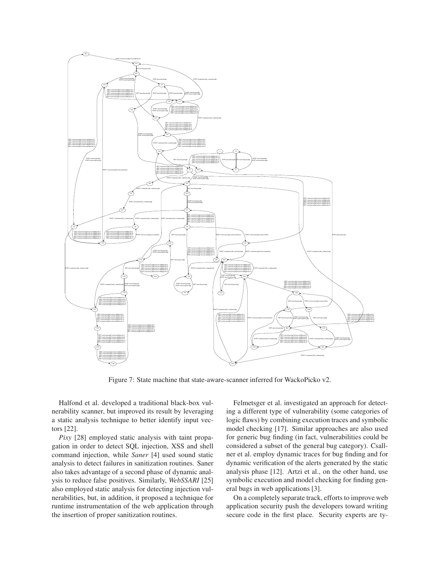

<span id="page-12-0"></span>Figure 7: State machine that state-aware-scanner inferred for WackoPicko v2.

Halfond et al. developed a traditional black-box vulnerability scanner, but improved its result by leveraging a static analysis technique to better identify input vectors [\[22\]](#page-14-16).

*Pixy* [\[28\]](#page-14-7) employed static analysis with taint propagation in order to detect SQL injection, XSS and shell command injection, while *Saner* [\[4\]](#page-13-1) used sound static analysis to detect failures in sanitization routines. Saner also takes advantage of a second phase of dynamic analysis to reduce false positives. Similarly, *WebSSARI* [\[25\]](#page-14-17) also employed static analysis for detecting injection vulnerabilities, but, in addition, it proposed a technique for runtime instrumentation of the web application through the insertion of proper sanitization routines.

Felmetsger et al. investigated an approach for detecting a different type of vulnerability (some categories of logic flaws) by combining execution traces and symbolic model checking [\[17\]](#page-14-5). Similar approaches are also used for generic bug finding (in fact, vulnerabilities could be considered a subset of the general bug category). Csallner et al. employ dynamic traces for bug finding and for dynamic verification of the alerts generated by the static analysis phase [\[12\]](#page-13-9). Artzi et al., on the other hand, use symbolic execution and model checking for finding general bugs in web applications [\[3\]](#page-13-10).

On a completely separate track, efforts to improve web application security push the developers toward writing secure code in the first place. Security experts are ty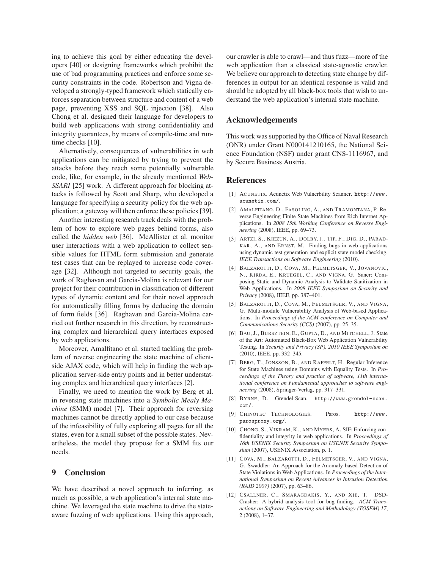ing to achieve this goal by either educating the developers [\[40\]](#page-14-27) or designing frameworks which prohibit the use of bad programming practices and enforce some security constraints in the code. Robertson and Vigna developed a strongly-typed framework which statically enforces separation between structure and content of a web page, preventing XSS and SQL injection [\[38\]](#page-14-3). Also Chong et al. designed their language for developers to build web applications with strong confidentiality and integrity guarantees, by means of compile-time and run-time checks [\[10\]](#page-13-0).

Alternatively, consequences of vulnerabilities in web applications can be mitigated by trying to prevent the attacks before they reach some potentially vulnerable code, like, for example, in the already mentioned *Web-SSARI* [\[25\]](#page-14-17) work. A different approach for blocking attacks is followed by Scott and Sharp, who developed a language for specifying a security policy for the web application; a gateway will then enforce these policies [\[39\]](#page-14-28).

Another interesting research track deals with the problem of how to explore web pages behind forms, also called the *hidden web* [\[36\]](#page-14-29). McAllister et al. monitor user interactions with a web application to collect sensible values for HTML form submission and generate test cases that can be replayed to increase code coverage [\[32\]](#page-14-30). Although not targeted to security goals, the work of Raghavan and Garcia-Molina is relevant for our project for their contribution in classification of different types of dynamic content and for their novel approach for automatically filling forms by deducing the domain of form fields [\[36\]](#page-14-29). Raghavan and Garcia-Molina carried out further research in this direction, by reconstructing complex and hierarchical query interfaces exposed by web applications.

Moreover, Amalfitano et al. started tackling the problem of reverse engineering the state machine of clientside AJAX code, which will help in finding the web application server-side entry points and in better understating complex and hierarchical query interfaces [\[2\]](#page-13-11).

Finally, we need to mention the work by Berg et al. in reversing state machines into a *Symbolic Mealy Machine* (SMM) model [\[7\]](#page-13-4). Their approach for reversing machines cannot be directly applied to our case because of the infeasibility of fully exploring all pages for all the states, even for a small subset of the possible states. Nevertheless, the model they propose for a SMM fits our needs.

### **9 Conclusion**

We have described a novel approach to inferring, as much as possible, a web application's internal state machine. We leveraged the state machine to drive the stateaware fuzzing of web applications. Using this approach, our crawler is able to crawl—and thus fuzz—more of the web application than a classical state-agnostic crawler. We believe our approach to detecting state change by differences in output for an identical response is valid and should be adopted by all black-box tools that wish to understand the web application's internal state machine.

# **Acknowledgements**

This work was supported by the Office of Naval Research (ONR) under Grant N000141210165, the National Science Foundation (NSF) under grant CNS-1116967, and by Secure Business Austria.

#### <span id="page-13-7"></span>**References**

- <span id="page-13-11"></span>[1] ACUNETIX. Acunetix Web Vulnerbility Scanner. [http://www.](http://www.acunetix.com/) [acunetix.com/](http://www.acunetix.com/).
- [2] AMALFITANO, D., FASOLINO, A., AND TRAMONTANA, P. Reverse Engineering Finite State Machines from Rich Internet Applications. In *2008 15th Working Conference on Reverse Engineering* (2008), IEEE, pp. 69–73.
- <span id="page-13-10"></span>[3] ARTZI, S., KIEZUN, A., DOLBY, J., TIP, F., DIG, D., PARAD-KAR, A., AND ERNST, M. Finding bugs in web applications using dynamic test generation and explicit state model checking. *IEEE Transactions on Software Engineering* (2010).
- <span id="page-13-1"></span>[4] BALZAROTTI, D., COVA, M., FELMETSGER, V., JOVANOVIC, N., KIRDA, E., KRUEGEL, C., AND VIGNA, G. Saner: Composing Static and Dynamic Analysis to Validate Sanitization in Web Applications. In *2008 IEEE Symposium on Security and Privacy* (2008), IEEE, pp. 387–401.
- <span id="page-13-2"></span>[5] BALZAROTTI, D., COVA, M., FELMETSGER, V., AND VIGNA, G. Multi-module Vulnerability Analysis of Web-based Applications. In *Proceedings of the ACM conference on Computer and Communications Security (CCS)* (2007), pp. 25–35.
- <span id="page-13-8"></span>[6] BAU, J., BURSZTEIN, E., GUPTA, D., AND MITCHELL, J. State of the Art: Automated Black-Box Web Application Vulnerability Testing. In *Security and Privacy (SP), 2010 IEEE Symposium on* (2010), IEEE, pp. 332–345.
- <span id="page-13-4"></span>[7] BERG, T., JONSSON, B., AND RAFFELT, H. Regular Inference for State Machines using Domains with Equality Tests. In *Proceedings of the Theory and practice of software, 11th international conference on Fundamental approaches to software engineering* (2008), Springer-Verlag, pp. 317–331.
- <span id="page-13-5"></span>[8] BYRNE, D. Grendel-Scan. [http://www.grendel-scan.](http://www.grendel-scan.com/) [com/](http://www.grendel-scan.com/).
- <span id="page-13-6"></span>[9] CHINOTEC TECHNOLOGIES. Paros. [http://www.](http://www.parosproxy.org/) [parosproxy.org/](http://www.parosproxy.org/).
- <span id="page-13-0"></span>[10] CHONG, S., VIKRAM, K., AND MYERS, A. SIF: Enforcing confidentiality and integrity in web applications. In *Proceedings of 16th USENIX Security Symposium on USENIX Security Symposium* (2007), USENIX Association, p. 1.
- <span id="page-13-3"></span>[11] COVA, M., BALZAROTTI, D., FELMETSGER, V., AND VIGNA, G. Swaddler: An Approach for the Anomaly-based Detection of State Violations in Web Applications. In *Proceedings of the International Symposium on Recent Advances in Intrusion Detection (RAID 2007)* (2007), pp. 63–86.
- <span id="page-13-9"></span>[12] CSALLNER, C., SMARAGDAKIS, Y., AND XIE, T. DSD-Crasher: A hybrid analysis tool for bug finding. *ACM Transactions on Software Engineering and Methodology (TOSEM) 17*, 2 (2008), 1–37.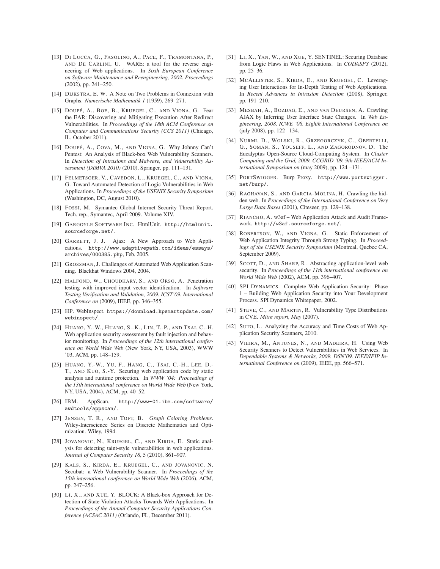- <span id="page-14-26"></span>[13] DI LUCCA, G., FASOLINO, A., PACE, F., TRAMONTANA, P., AND DE CARLINI, U. WARE: a tool for the reverse engineering of Web applications. In *Sixth European Conference on Software Maintenance and Reengineering, 2002. Proceedings* (2002), pp. 241–250.
- <span id="page-14-10"></span><span id="page-14-4"></span>[14] DIJKSTRA, E. W. A Note on Two Problems in Connexion with Graphs. *Numerische Mathematik 1* (1959), 269–271.
- [15] DOUPÉ, A., BOE, B., KRUEGEL, C., AND VIGNA, G. Fear the EAR: Discovering and Mitigating Execution After Redirect Vulnerabilities. In *Proceedings of the 18th ACM Conference on Computer and Communications Security (CCS 2011)* (Chicago, IL, October 2011).
- <span id="page-14-12"></span>[16] DOUPÉ, A., COVA, M., AND VIGNA, G. Why Johnny Can't Pentest: An Analysis of Black-box Web Vulnerability Scanners. In *Detection of Intrusions and Malware, and Vulnerability Assessment (DIMVA 2010)* (2010), Springer, pp. 111–131.
- <span id="page-14-5"></span>[17] FELMETSGER, V., CAVEDON, L., KRUEGEL, C., AND VIGNA, G. Toward Automated Detection of Logic Vulnerabilities in Web Applications. In *Proceedings of the USENIX Security Symposium* (Washington, DC, August 2010).
- <span id="page-14-1"></span>[18] FOSSI, M. Symantec Global Internet Security Threat Report. Tech. rep., Symantec, April 2009. Volume XIV.
- <span id="page-14-13"></span>[19] GARGOYLE SOFTWARE INC. HtmlUnit. [http://htmlunit.](http://htmlunit.sourceforge.net/) [sourceforge.net/](http://htmlunit.sourceforge.net/).
- <span id="page-14-0"></span>[20] GARRETT, J. J. Ajax: A New Approach to Web Applications. [http://www.adaptivepath.com/ideas/essays/](http://www.adaptivepath.com/ideas/essays/archives/000385.php) [archives/000385.php](http://www.adaptivepath.com/ideas/essays/archives/000385.php), Feb. 2005.
- <span id="page-14-25"></span>[21] GROSSMAN, J. Challenges of Automated Web Application Scanning. Blackhat Windows 2004, 2004.
- <span id="page-14-16"></span>[22] HALFOND, W., CHOUDHARY, S., AND ORSO, A. Penetration testing with improved input vector identification. In *Software Testing Verification and Validation, 2009. ICST'09. International Conference on* (2009), IEEE, pp. 346–355.
- <span id="page-14-20"></span>[23] HP. WebInspect. [https://download.hpsmartupdate.com/](https://download.hpsmartupdate.com/webinspect/) [webinspect/](https://download.hpsmartupdate.com/webinspect/).
- <span id="page-14-6"></span>[24] HUANG, Y.-W., HUANG, S.-K., LIN, T.-P., AND TSAI, C.-H. Web application security assessment by fault injection and behavior monitoring. In *Proceedings of the 12th international conference on World Wide Web* (New York, NY, USA, 2003), WWW '03, ACM, pp. 148–159.
- <span id="page-14-17"></span>[25] HUANG, Y.-W., YU, F., HANG, C., TSAI, C.-H., LEE, D.- T., AND KUO, S.-Y. Securing web application code by static analysis and runtime protection. In *WWW '04: Proceedings of the 13th international conference on World Wide Web* (New York, NY, USA, 2004), ACM, pp. 40–52.
- <span id="page-14-21"></span>[26] IBM. AppScan. [http://www-01.ibm.com/software/](http://www-01.ibm.com/software/awdtools/appscan/) [awdtools/appscan/](http://www-01.ibm.com/software/awdtools/appscan/).
- <span id="page-14-9"></span>[27] JENSEN, T. R., AND TOFT, B. *Graph Coloring Problems*. Wiley-Interscience Series on Discrete Mathematics and Optimization. Wiley, 1994.
- <span id="page-14-7"></span>[28] JOVANOVIC, N., KRUEGEL, C., AND KIRDA, E. Static analysis for detecting taint-style vulnerabilities in web applications. *Journal of Computer Security 18*, 5 (2010), 861–907.
- <span id="page-14-18"></span>[29] KALS, S., KIRDA, E., KRUEGEL, C., AND JOVANOVIC, N. Secubat: a Web Vulnerability Scanner. In *Proceedings of the 15th international conference on World Wide Web* (2006), ACM, pp. 247–256.
- <span id="page-14-8"></span>[30] LI, X., AND XUE, Y. BLOCK: A Black-box Approach for Detection of State Violation Attacks Towards Web Applications. In *Proceedings of the Annual Computer Security Applications Conference (ACSAC 2011)* (Orlando, FL, December 2011).
- <span id="page-14-19"></span>[31] LI, X., YAN, W., AND XUE, Y. SENTINEL: Securing Database from Logic Flaws in Web Applications. In *CODASPY* (2012), pp. 25–36.
- <span id="page-14-30"></span>[32] MCALLISTER, S., KIRDA, E., AND KRUEGEL, C. Leveraging User Interactions for In-Depth Testing of Web Applications. In *Recent Advances in Intrusion Detection* (2008), Springer, pp. 191–210.
- <span id="page-14-15"></span>[33] MESBAH, A., BOZDAG, E., AND VAN DEURSEN, A. Crawling AJAX by Inferring User Interface State Changes. In *Web Engineering, 2008. ICWE '08. Eighth International Conference on* (july 2008), pp. 122 –134.
- <span id="page-14-14"></span>[34] NURMI, D., WOLSKI, R., GRZEGORCZYK, C., OBERTELLI, G., SOMAN, S., YOUSEFF, L., AND ZAGORODNOV, D. The Eucalyptus Open-Source Cloud-Computing System. In *Cluster Computing and the Grid, 2009. CCGRID '09. 9th IEEE/ACM International Symposium on* (may 2009), pp. 124 –131.
- <span id="page-14-22"></span>[35] PORTSWIGGER. Burp Proxy. [http://www.portswigger.](http://www.portswigger.net/burp/) [net/burp/](http://www.portswigger.net/burp/).
- <span id="page-14-29"></span>[36] RAGHAVAN, S., AND GARCIA-MOLINA, H. Crawling the hidden web. In *Proceedings of the International Conference on Very Large Data Bases* (2001), Citeseer, pp. 129–138.
- <span id="page-14-11"></span>[37] RIANCHO, A. w3af - Web Application Attack and Audit Framework. <http://w3af.sourceforge.net/>.
- <span id="page-14-3"></span>[38] ROBERTSON, W., AND VIGNA, G. Static Enforcement of Web Application Integrity Through Strong Typing. In *Proceedings of the USENIX Security Symposium* (Montreal, Quebec CA, September 2009).
- <span id="page-14-28"></span>[39] SCOTT, D., AND SHARP, R. Abstracting application-level web security. In *Proceedings of the 11th international conference on World Wide Web* (2002), ACM, pp. 396–407.
- <span id="page-14-27"></span>[40] SPI DYNAMICS. Complete Web Application Security: Phase 1 – Building Web Application Security into Your Development Process. SPI Dynamics Whitepaper, 2002.
- <span id="page-14-2"></span>[41] STEVE, C., AND MARTIN, R. Vulnerability Type Distributions in CVE. *Mitre report, May* (2007).
- <span id="page-14-23"></span>[42] SUTO, L. Analyzing the Accuracy and Time Costs of Web Application Security Scanners, 2010.
- <span id="page-14-24"></span>[43] VIEIRA, M., ANTUNES, N., AND MADEIRA, H. Using Web Security Scanners to Detect Vulnerabilities in Web Services. In *Dependable Systems & Networks, 2009. DSN'09. IEEE/IFIP International Conference on* (2009), IEEE, pp. 566–571.